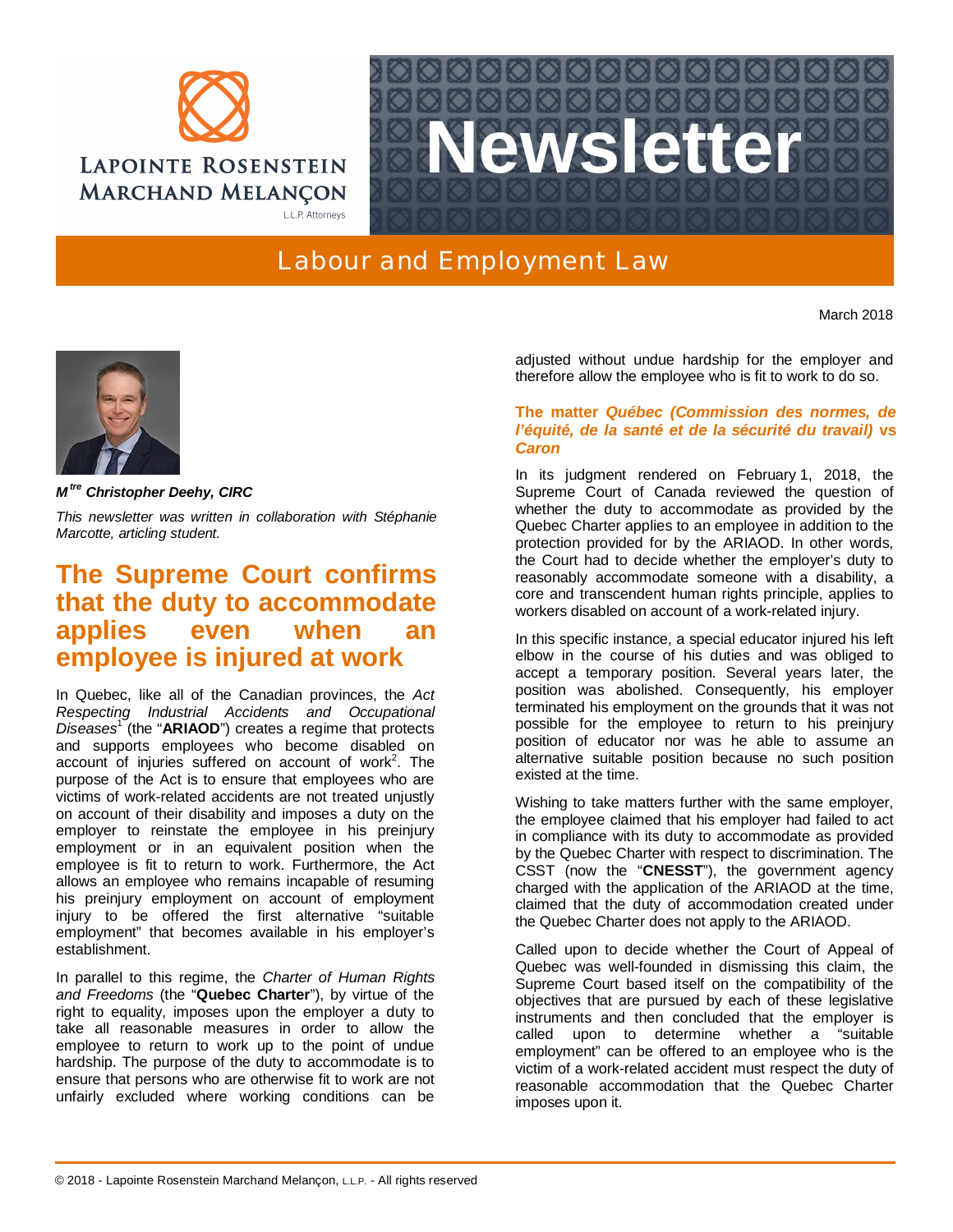



## Labour and Employment Law

March 2018



*M tre Christopher Deehy, CIRC*

*This newsletter was written in collaboration with Stéphanie Marcotte, articling student.*

## **The Supreme Court confirms that the duty to accommodate applies even when an employee is injured at work**

In Quebec, like all of the Canadian provinces, the *Act Respecting Industrial Accidents and Occupational Diseases*<sup>1</sup> (the "**ARIAOD**") creates a regime that protects and supports employees who become disabled on account of injuries suffered on account of work<sup>2</sup>. The purpose of the Act is to ensure that employees who are victims of work-related accidents are not treated unjustly on account of their disability and imposes a duty on the employer to reinstate the employee in his preinjury employment or in an equivalent position when the employee is fit to return to work. Furthermore, the Act allows an employee who remains incapable of resuming his preinjury employment on account of employment injury to be offered the first alternative "suitable employment" that becomes available in his employer's establishment.

In parallel to this regime, the *Charter of Human Rights and Freedoms* (the "**Quebec Charter**"), by virtue of the right to equality, imposes upon the employer a duty to take all reasonable measures in order to allow the employee to return to work up to the point of undue hardship. The purpose of the duty to accommodate is to ensure that persons who are otherwise fit to work are not unfairly excluded where working conditions can be

adjusted without undue hardship for the employer and therefore allow the employee who is fit to work to do so.

## **The matter** *Québec (Commission des normes, de l'équité, de la santé et de la sécurité du travail)* **vs** *Caron*

In its judgment rendered on February 1, 2018, the Supreme Court of Canada reviewed the question of whether the duty to accommodate as provided by the Quebec Charter applies to an employee in addition to the protection provided for by the ARIAOD. In other words, the Court had to decide whether the employer's duty to reasonably accommodate someone with a disability, a core and transcendent human rights principle, applies to workers disabled on account of a work-related injury.

In this specific instance, a special educator injured his left elbow in the course of his duties and was obliged to accept a temporary position. Several years later, the position was abolished. Consequently, his employer terminated his employment on the grounds that it was not possible for the employee to return to his preinjury position of educator nor was he able to assume an alternative suitable position because no such position existed at the time.

Wishing to take matters further with the same employer, the employee claimed that his employer had failed to act in compliance with its duty to accommodate as provided by the Quebec Charter with respect to discrimination. The CSST (now the "**CNESST**"), the government agency charged with the application of the ARIAOD at the time, claimed that the duty of accommodation created under the Quebec Charter does not apply to the ARIAOD.

Called upon to decide whether the Court of Appeal of Quebec was well-founded in dismissing this claim, the Supreme Court based itself on the compatibility of the objectives that are pursued by each of these legislative instruments and then concluded that the employer is called upon to determine whether a "suitable employment" can be offered to an employee who is the victim of a work-related accident must respect the duty of reasonable accommodation that the Quebec Charter imposes upon it.